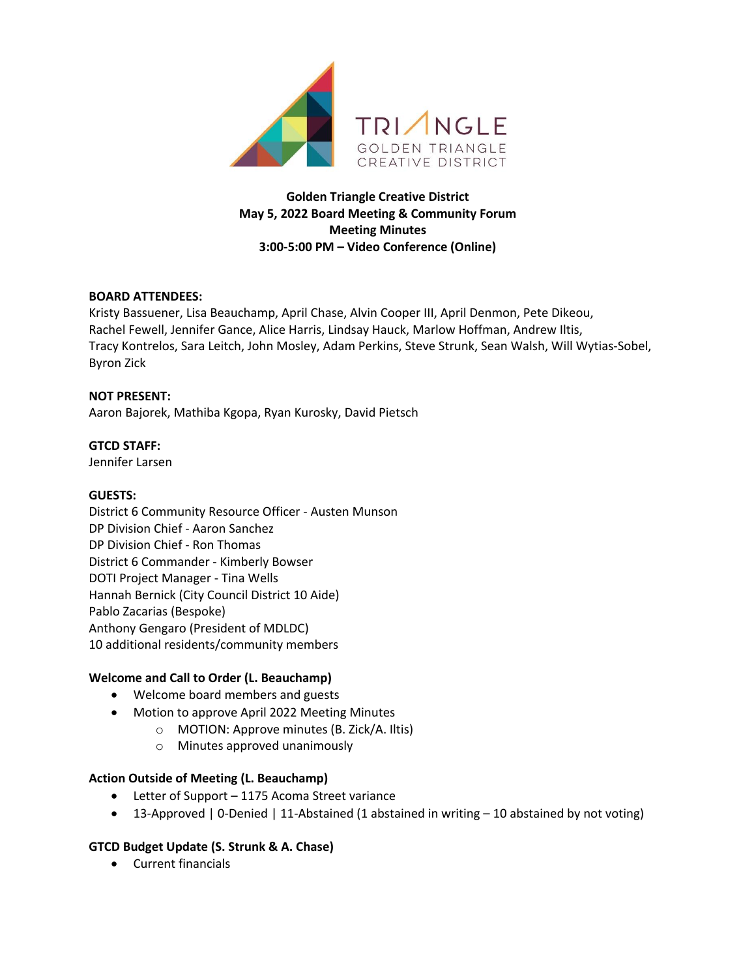

**Golden Triangle Creative District May 5, 2022 Board Meeting & Community Forum Meeting Minutes 3:00-5:00 PM – Video Conference (Online)**

## **BOARD ATTENDEES:**

Kristy Bassuener, Lisa Beauchamp, April Chase, Alvin Cooper III, April Denmon, Pete Dikeou, Rachel Fewell, Jennifer Gance, Alice Harris, Lindsay Hauck, Marlow Hoffman, Andrew Iltis, Tracy Kontrelos, Sara Leitch, John Mosley, Adam Perkins, Steve Strunk, Sean Walsh, Will Wytias-Sobel, Byron Zick

#### **NOT PRESENT:**

Aaron Bajorek, Mathiba Kgopa, Ryan Kurosky, David Pietsch

#### **GTCD STAFF:**

Jennifer Larsen

#### **GUESTS:**

District 6 Community Resource Officer - Austen Munson DP Division Chief - Aaron Sanchez DP Division Chief - Ron Thomas District 6 Commander - Kimberly Bowser DOTI Project Manager - Tina Wells Hannah Bernick (City Council District 10 Aide) Pablo Zacarias (Bespoke) Anthony Gengaro (President of MDLDC) 10 additional residents/community members

## **Welcome and Call to Order (L. Beauchamp)**

- Welcome board members and guests
- Motion to approve April 2022 Meeting Minutes
	- o MOTION: Approve minutes (B. Zick/A. Iltis)
		- o Minutes approved unanimously

## **Action Outside of Meeting (L. Beauchamp)**

- Letter of Support 1175 Acoma Street variance
- 13-Approved | 0-Denied | 11-Abstained (1 abstained in writing 10 abstained by not voting)

## **GTCD Budget Update (S. Strunk & A. Chase)**

• Current financials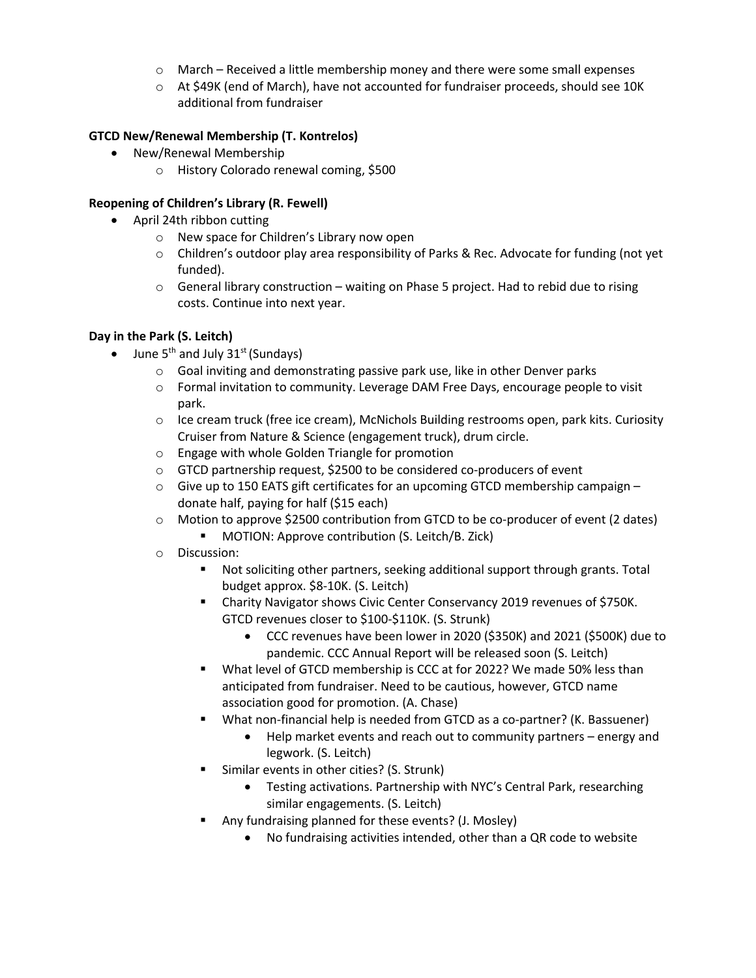- $\circ$  March Received a little membership money and there were some small expenses
- o At \$49K (end of March), have not accounted for fundraiser proceeds, should see 10K additional from fundraiser

## **GTCD New/Renewal Membership (T. Kontrelos)**

- New/Renewal Membership
	- o History Colorado renewal coming, \$500

## **Reopening of Children's Library (R. Fewell)**

- April 24th ribbon cutting
	- o New space for Children's Library now open
	- $\circ$  Children's outdoor play area responsibility of Parks & Rec. Advocate for funding (not yet funded).
	- $\circ$  General library construction waiting on Phase 5 project. Had to rebid due to rising costs. Continue into next year.

## **Day in the Park (S. Leitch)**

- June  $5^{th}$  and July  $31^{st}$  (Sundays)
	- $\circ$  Goal inviting and demonstrating passive park use, like in other Denver parks
	- o Formal invitation to community. Leverage DAM Free Days, encourage people to visit park.
	- $\circ$  Ice cream truck (free ice cream), McNichols Building restrooms open, park kits. Curiosity Cruiser from Nature & Science (engagement truck), drum circle.
	- o Engage with whole Golden Triangle for promotion
	- o GTCD partnership request, \$2500 to be considered co-producers of event
	- $\circ$  Give up to 150 EATS gift certificates for an upcoming GTCD membership campaign donate half, paying for half (\$15 each)
	- o Motion to approve \$2500 contribution from GTCD to be co-producer of event (2 dates)
		- MOTION: Approve contribution (S. Leitch/B. Zick)
	- o Discussion:
		- Not soliciting other partners, seeking additional support through grants. Total budget approx. \$8-10K. (S. Leitch)
		- § Charity Navigator shows Civic Center Conservancy 2019 revenues of \$750K. GTCD revenues closer to \$100-\$110K. (S. Strunk)
			- CCC revenues have been lower in 2020 (\$350K) and 2021 (\$500K) due to pandemic. CCC Annual Report will be released soon (S. Leitch)
		- § What level of GTCD membership is CCC at for 2022? We made 50% less than anticipated from fundraiser. Need to be cautious, however, GTCD name association good for promotion. (A. Chase)
		- What non-financial help is needed from GTCD as a co-partner? (K. Bassuener)
			- Help market events and reach out to community partners energy and legwork. (S. Leitch)
		- § Similar events in other cities? (S. Strunk)
			- Testing activations. Partnership with NYC's Central Park, researching similar engagements. (S. Leitch)
		- Any fundraising planned for these events? (J. Mosley)
			- No fundraising activities intended, other than a QR code to website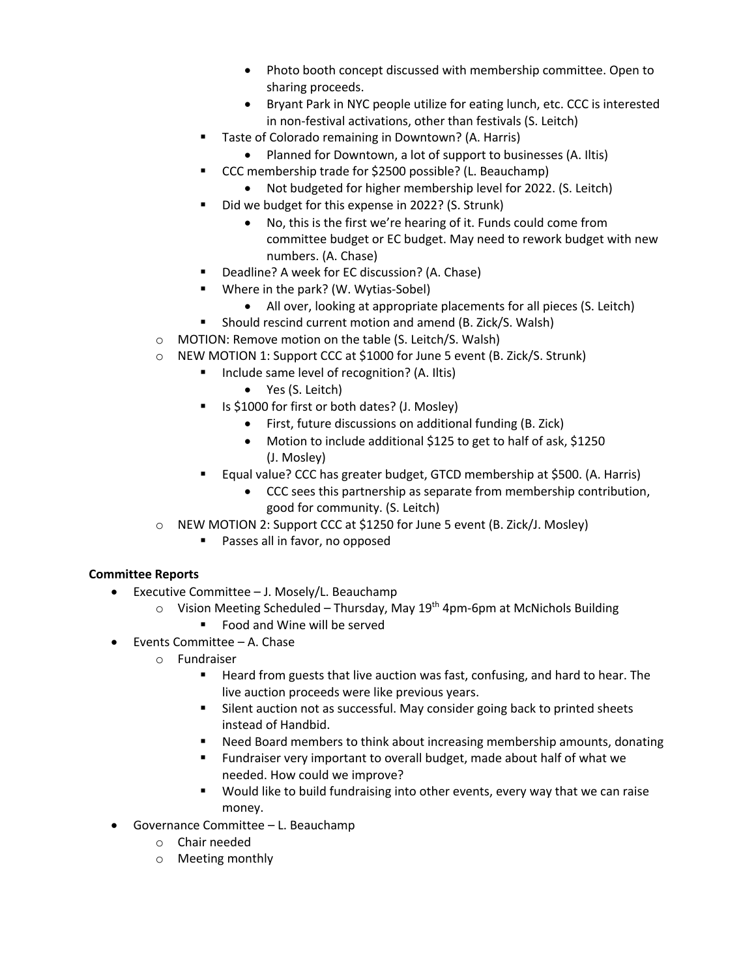- Photo booth concept discussed with membership committee. Open to sharing proceeds.
- Bryant Park in NYC people utilize for eating lunch, etc. CCC is interested in non-festival activations, other than festivals (S. Leitch)
- Taste of Colorado remaining in Downtown? (A. Harris)
	- Planned for Downtown, a lot of support to businesses (A. Iltis)
- § CCC membership trade for \$2500 possible? (L. Beauchamp)
	- Not budgeted for higher membership level for 2022. (S. Leitch)
- § Did we budget for this expense in 2022? (S. Strunk)
	- No, this is the first we're hearing of it. Funds could come from committee budget or EC budget. May need to rework budget with new numbers. (A. Chase)
- § Deadline? A week for EC discussion? (A. Chase)
- Where in the park? (W. Wytias-Sobel)
	- All over, looking at appropriate placements for all pieces (S. Leitch)
- Should rescind current motion and amend (B. Zick/S. Walsh)
- o MOTION: Remove motion on the table (S. Leitch/S. Walsh)
- o NEW MOTION 1: Support CCC at \$1000 for June 5 event (B. Zick/S. Strunk)
	- Include same level of recognition? (A. Iltis)
		- Yes (S. Leitch)
	- Is \$1000 for first or both dates? (J. Mosley)
		- First, future discussions on additional funding (B. Zick)
		- Motion to include additional \$125 to get to half of ask, \$1250 (J. Mosley)
	- § Equal value? CCC has greater budget, GTCD membership at \$500. (A. Harris)
		- CCC sees this partnership as separate from membership contribution, good for community. (S. Leitch)
- o NEW MOTION 2: Support CCC at \$1250 for June 5 event (B. Zick/J. Mosley)
	- Passes all in favor, no opposed

# **Committee Reports**

- Executive Committee J. Mosely/L. Beauchamp
	- $\circ$  Vision Meeting Scheduled Thursday, May 19<sup>th</sup> 4pm-6pm at McNichols Building
		- § Food and Wine will be served
- Events Committee A. Chase
	- o Fundraiser
		- Heard from guests that live auction was fast, confusing, and hard to hear. The live auction proceeds were like previous years.
		- Silent auction not as successful. May consider going back to printed sheets instead of Handbid.
		- § Need Board members to think about increasing membership amounts, donating
		- Fundraiser very important to overall budget, made about half of what we needed. How could we improve?
		- Would like to build fundraising into other events, every way that we can raise money.
- Governance Committee L. Beauchamp
	- o Chair needed
	- o Meeting monthly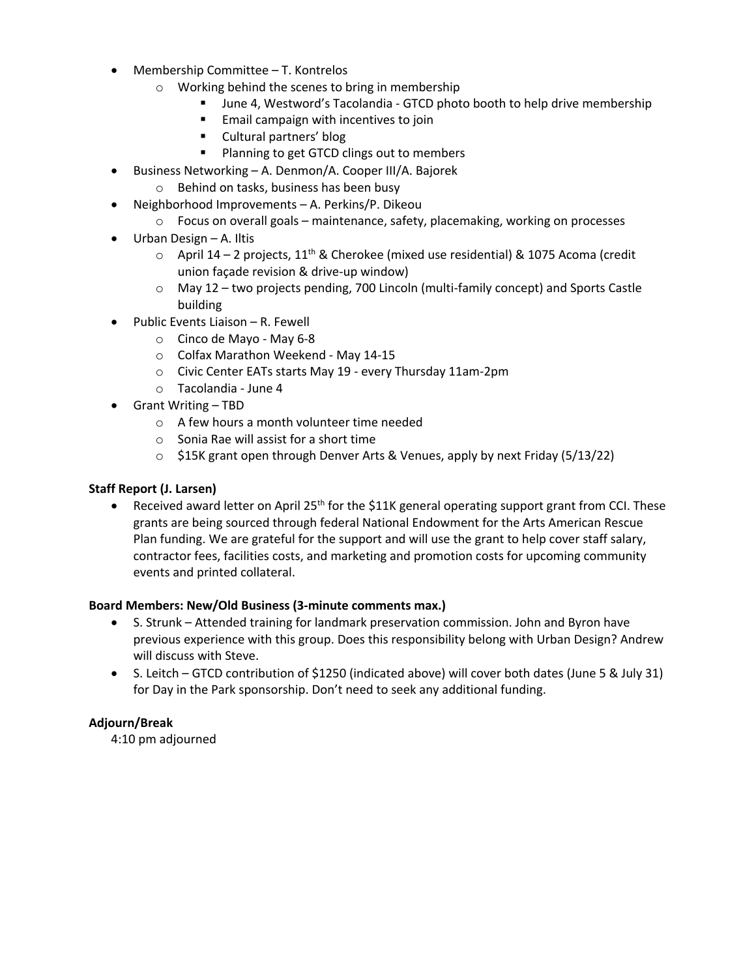- Membership Committee T. Kontrelos
	- o Working behind the scenes to bring in membership
		- § June 4, Westword's Tacolandia GTCD photo booth to help drive membership
		- Email campaign with incentives to join
		- Cultural partners' blog
		- Planning to get GTCD clings out to members
- Business Networking A. Denmon/A. Cooper III/A. Bajorek
	- o Behind on tasks, business has been busy
- Neighborhood Improvements A. Perkins/P. Dikeou
	- o Focus on overall goals maintenance, safety, placemaking, working on processes
- Urban Design A. Iltis
	- $\circ$  April 14 2 projects, 11<sup>th</sup> & Cherokee (mixed use residential) & 1075 Acoma (credit union façade revision & drive-up window)
	- $\circ$  May 12 two projects pending, 700 Lincoln (multi-family concept) and Sports Castle building
	- Public Events Liaison R. Fewell
		- o Cinco de Mayo May 6-8
		- o Colfax Marathon Weekend May 14-15
		- o Civic Center EATs starts May 19 every Thursday 11am-2pm
		- o Tacolandia June 4
- Grant Writing TBD
	- o A few hours a month volunteer time needed
	- o Sonia Rae will assist for a short time
	- o \$15K grant open through Denver Arts & Venues, apply by next Friday (5/13/22)

## **Staff Report (J. Larsen)**

• Received award letter on April 25<sup>th</sup> for the \$11K general operating support grant from CCI. These grants are being sourced through federal National Endowment for the Arts American Rescue Plan funding. We are grateful for the support and will use the grant to help cover staff salary, contractor fees, facilities costs, and marketing and promotion costs for upcoming community events and printed collateral.

#### **Board Members: New/Old Business (3-minute comments max.)**

- S. Strunk Attended training for landmark preservation commission. John and Byron have previous experience with this group. Does this responsibility belong with Urban Design? Andrew will discuss with Steve.
- S. Leitch GTCD contribution of \$1250 (indicated above) will cover both dates (June 5 & July 31) for Day in the Park sponsorship. Don't need to seek any additional funding.

## **Adjourn/Break**

4:10 pm adjourned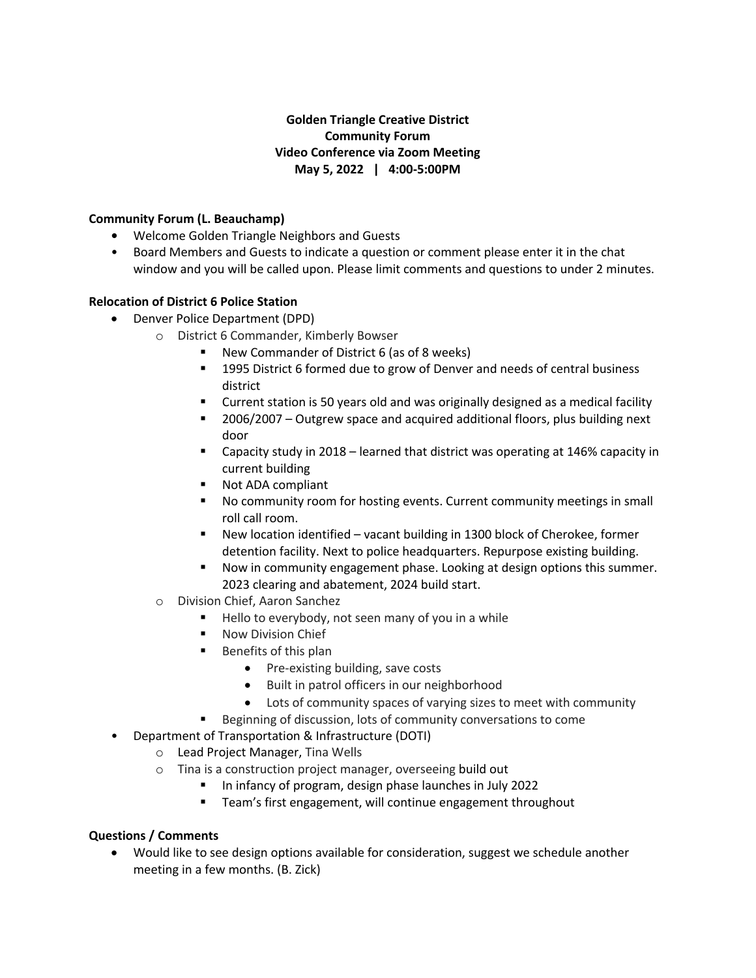# **Golden Triangle Creative District Community Forum Video Conference via Zoom Meeting May 5, 2022 | 4:00-5:00PM**

## **Community Forum (L. Beauchamp)**

- Welcome Golden Triangle Neighbors and Guests
- Board Members and Guests to indicate a question or comment please enter it in the chat window and you will be called upon. Please limit comments and questions to under 2 minutes.

## **Relocation of District 6 Police Station**

- Denver Police Department (DPD)
	- o District 6 Commander, Kimberly Bowser
		- § New Commander of District 6 (as of 8 weeks)
		- § 1995 District 6 formed due to grow of Denver and needs of central business district
		- § Current station is 50 years old and was originally designed as a medical facility
		- 2006/2007 Outgrew space and acquired additional floors, plus building next door
		- § Capacity study in 2018 learned that district was operating at 146% capacity in current building
		- Not ADA compliant
		- No community room for hosting events. Current community meetings in small roll call room.
		- New location identified vacant building in 1300 block of Cherokee, former detention facility. Next to police headquarters. Repurpose existing building.
		- § Now in community engagement phase. Looking at design options this summer. 2023 clearing and abatement, 2024 build start.
	- o Division Chief, Aaron Sanchez
		- Hello to everybody, not seen many of you in a while
		- Now Division Chief
		- Benefits of this plan
			- Pre-existing building, save costs
			- Built in patrol officers in our neighborhood
			- Lots of community spaces of varying sizes to meet with community
		- Beginning of discussion, lots of community conversations to come
- Department of Transportation & Infrastructure (DOTI)
	- o Lead Project Manager, Tina Wells
	- o Tina is a construction project manager, overseeing build out
		- In infancy of program, design phase launches in July 2022
		- Team's first engagement, will continue engagement throughout

# **Questions / Comments**

• Would like to see design options available for consideration, suggest we schedule another meeting in a few months. (B. Zick)